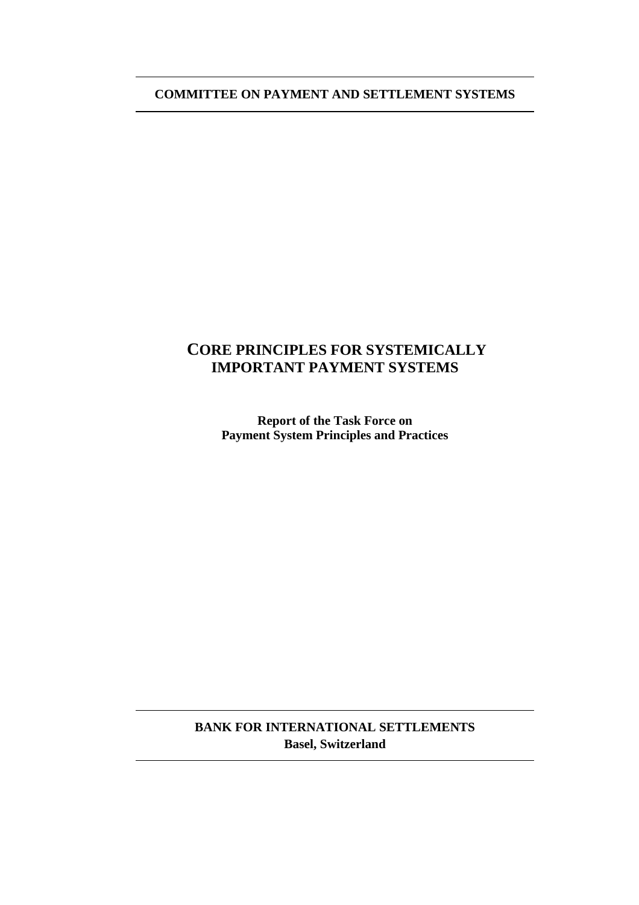### **COMMITTEE ON PAYMENT AND SETTLEMENT SYSTEMS**

# **CORE PRINCIPLES FOR SYSTEMICALLY IMPORTANT PAYMENT SYSTEMS**

**Report of the Task Force on Payment System Principles and Practices**

**BANK FOR INTERNATIONAL SETTLEMENTS Basel, Switzerland**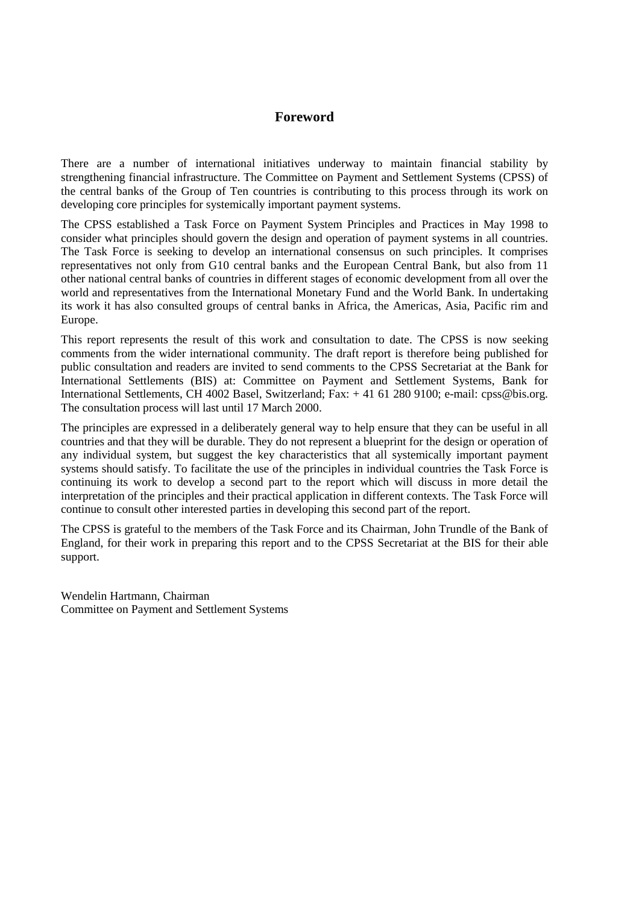#### **Foreword**

There are a number of international initiatives underway to maintain financial stability by strengthening financial infrastructure. The Committee on Payment and Settlement Systems (CPSS) of the central banks of the Group of Ten countries is contributing to this process through its work on developing core principles for systemically important payment systems.

The CPSS established a Task Force on Payment System Principles and Practices in May 1998 to consider what principles should govern the design and operation of payment systems in all countries. The Task Force is seeking to develop an international consensus on such principles. It comprises representatives not only from G10 central banks and the European Central Bank, but also from 11 other national central banks of countries in different stages of economic development from all over the world and representatives from the International Monetary Fund and the World Bank. In undertaking its work it has also consulted groups of central banks in Africa, the Americas, Asia, Pacific rim and Europe.

This report represents the result of this work and consultation to date. The CPSS is now seeking comments from the wider international community. The draft report is therefore being published for public consultation and readers are invited to send comments to the CPSS Secretariat at the Bank for International Settlements (BIS) at: Committee on Payment and Settlement Systems, Bank for International Settlements, CH 4002 Basel, Switzerland; Fax: + 41 61 280 9100; e-mail: cpss@bis.org. The consultation process will last until 17 March 2000.

The principles are expressed in a deliberately general way to help ensure that they can be useful in all countries and that they will be durable. They do not represent a blueprint for the design or operation of any individual system, but suggest the key characteristics that all systemically important payment systems should satisfy. To facilitate the use of the principles in individual countries the Task Force is continuing its work to develop a second part to the report which will discuss in more detail the interpretation of the principles and their practical application in different contexts. The Task Force will continue to consult other interested parties in developing this second part of the report.

The CPSS is grateful to the members of the Task Force and its Chairman, John Trundle of the Bank of England, for their work in preparing this report and to the CPSS Secretariat at the BIS for their able support.

Wendelin Hartmann, Chairman Committee on Payment and Settlement Systems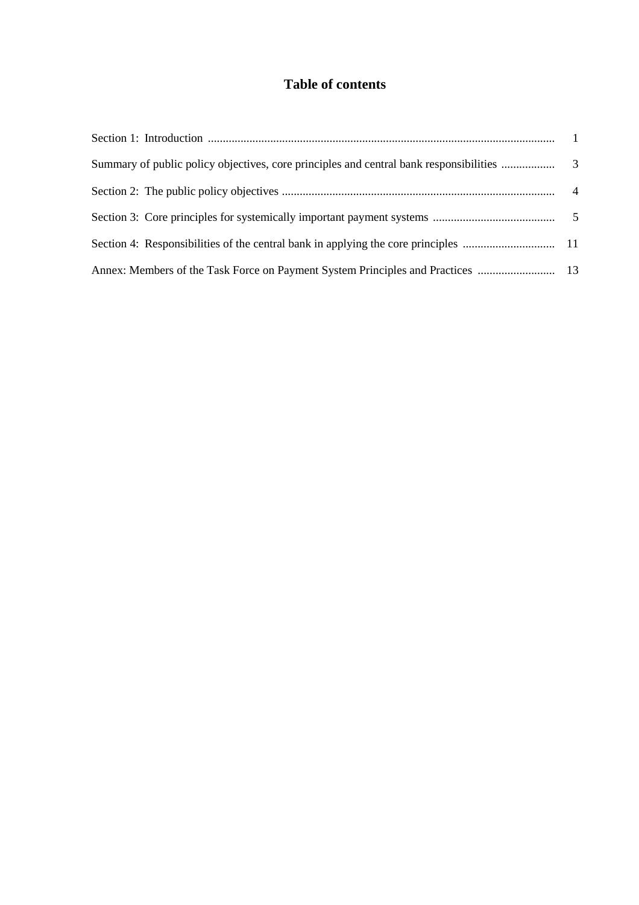## **Table of contents**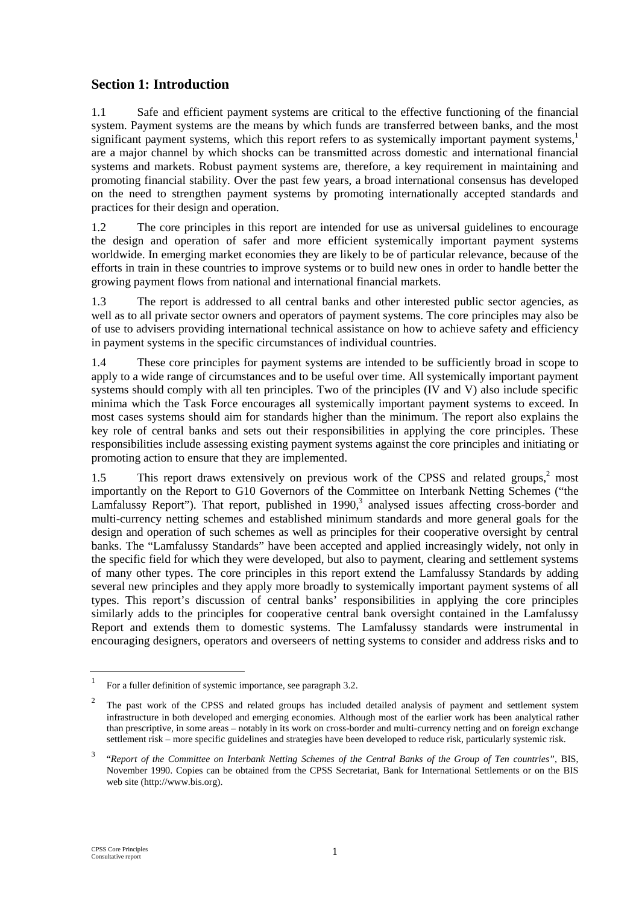## **Section 1: Introduction**

1.1 Safe and efficient payment systems are critical to the effective functioning of the financial system. Payment systems are the means by which funds are transferred between banks, and the most significant payment systems, which this report refers to as systemically important payment systems, $\frac{1}{2}$ are a major channel by which shocks can be transmitted across domestic and international financial systems and markets. Robust payment systems are, therefore, a key requirement in maintaining and promoting financial stability. Over the past few years, a broad international consensus has developed on the need to strengthen payment systems by promoting internationally accepted standards and practices for their design and operation.

1.2 The core principles in this report are intended for use as universal guidelines to encourage the design and operation of safer and more efficient systemically important payment systems worldwide. In emerging market economies they are likely to be of particular relevance, because of the efforts in train in these countries to improve systems or to build new ones in order to handle better the growing payment flows from national and international financial markets.

1.3 The report is addressed to all central banks and other interested public sector agencies, as well as to all private sector owners and operators of payment systems. The core principles may also be of use to advisers providing international technical assistance on how to achieve safety and efficiency in payment systems in the specific circumstances of individual countries.

1.4 These core principles for payment systems are intended to be sufficiently broad in scope to apply to a wide range of circumstances and to be useful over time. All systemically important payment systems should comply with all ten principles. Two of the principles (IV and V) also include specific minima which the Task Force encourages all systemically important payment systems to exceed. In most cases systems should aim for standards higher than the minimum. The report also explains the key role of central banks and sets out their responsibilities in applying the core principles. These responsibilities include assessing existing payment systems against the core principles and initiating or promoting action to ensure that they are implemented.

1.5 This report draws extensively on previous work of the CPSS and related groups,<sup>2</sup> most importantly on the Report to G10 Governors of the Committee on Interbank Netting Schemes ("the Lamfalussy Report"). That report, published in  $1990$ ,<sup>3</sup> analysed issues affecting cross-border and multi-currency netting schemes and established minimum standards and more general goals for the design and operation of such schemes as well as principles for their cooperative oversight by central banks. The "Lamfalussy Standards" have been accepted and applied increasingly widely, not only in the specific field for which they were developed, but also to payment, clearing and settlement systems of many other types. The core principles in this report extend the Lamfalussy Standards by adding several new principles and they apply more broadly to systemically important payment systems of all types. This report's discussion of central banks' responsibilities in applying the core principles similarly adds to the principles for cooperative central bank oversight contained in the Lamfalussy Report and extends them to domestic systems. The Lamfalussy standards were instrumental in encouraging designers, operators and overseers of netting systems to consider and address risks and to

<sup>1</sup> For a fuller definition of systemic importance, see paragraph 3.2.

<sup>&</sup>lt;sup>2</sup> The past work of the CPSS and related groups has included detailed analysis of payment and settlement system infrastructure in both developed and emerging economies. Although most of the earlier work has been analytical rather than prescriptive, in some areas – notably in its work on cross-border and multi-currency netting and on foreign exchange settlement risk – more specific guidelines and strategies have been developed to reduce risk, particularly systemic risk.

<sup>3</sup> "*Report of the Committee on Interbank Netting Schemes of the Central Banks of the Group of Ten countries",* BIS, November 1990. Copies can be obtained from the CPSS Secretariat, Bank for International Settlements or on the BIS web site (http://www.bis.org).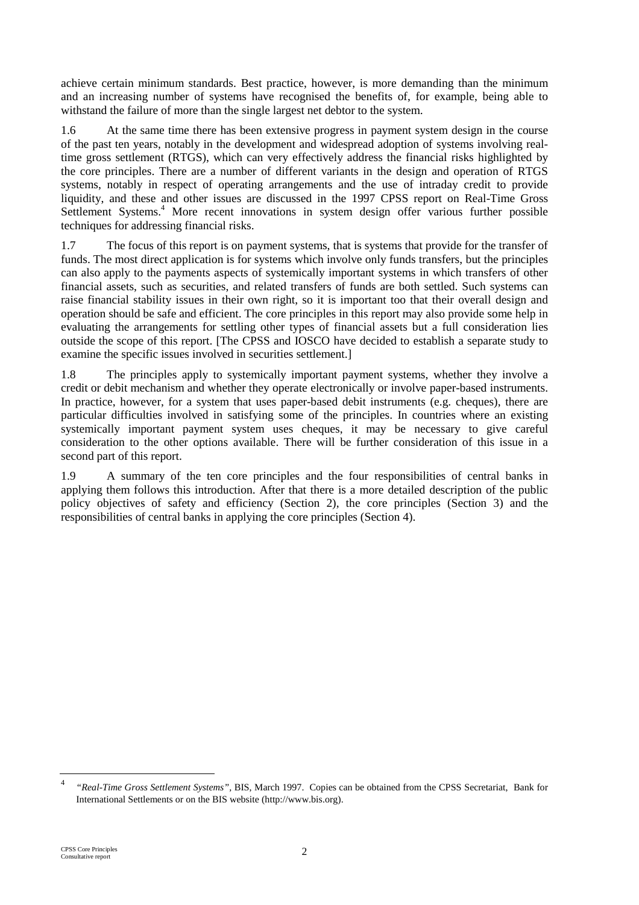achieve certain minimum standards. Best practice, however, is more demanding than the minimum and an increasing number of systems have recognised the benefits of, for example, being able to withstand the failure of more than the single largest net debtor to the system.

1.6 At the same time there has been extensive progress in payment system design in the course of the past ten years, notably in the development and widespread adoption of systems involving realtime gross settlement (RTGS), which can very effectively address the financial risks highlighted by the core principles. There are a number of different variants in the design and operation of RTGS systems, notably in respect of operating arrangements and the use of intraday credit to provide liquidity, and these and other issues are discussed in the 1997 CPSS report on Real-Time Gross Settlement Systems.<sup>4</sup> More recent innovations in system design offer various further possible techniques for addressing financial risks.

1.7 The focus of this report is on payment systems, that is systems that provide for the transfer of funds. The most direct application is for systems which involve only funds transfers, but the principles can also apply to the payments aspects of systemically important systems in which transfers of other financial assets, such as securities, and related transfers of funds are both settled. Such systems can raise financial stability issues in their own right, so it is important too that their overall design and operation should be safe and efficient. The core principles in this report may also provide some help in evaluating the arrangements for settling other types of financial assets but a full consideration lies outside the scope of this report. [The CPSS and IOSCO have decided to establish a separate study to examine the specific issues involved in securities settlement.]

1.8 The principles apply to systemically important payment systems, whether they involve a credit or debit mechanism and whether they operate electronically or involve paper-based instruments. In practice, however, for a system that uses paper-based debit instruments (e.g. cheques), there are particular difficulties involved in satisfying some of the principles. In countries where an existing systemically important payment system uses cheques, it may be necessary to give careful consideration to the other options available. There will be further consideration of this issue in a second part of this report.

1.9 A summary of the ten core principles and the four responsibilities of central banks in applying them follows this introduction. After that there is a more detailed description of the public policy objectives of safety and efficiency (Section 2), the core principles (Section 3) and the responsibilities of central banks in applying the core principles (Section 4).

<sup>4</sup> *"Real-Time Gross Settlement Systems",* BIS, March 1997. Copies can be obtained from the CPSS Secretariat, Bank for International Settlements or on the BIS website (http://www.bis.org).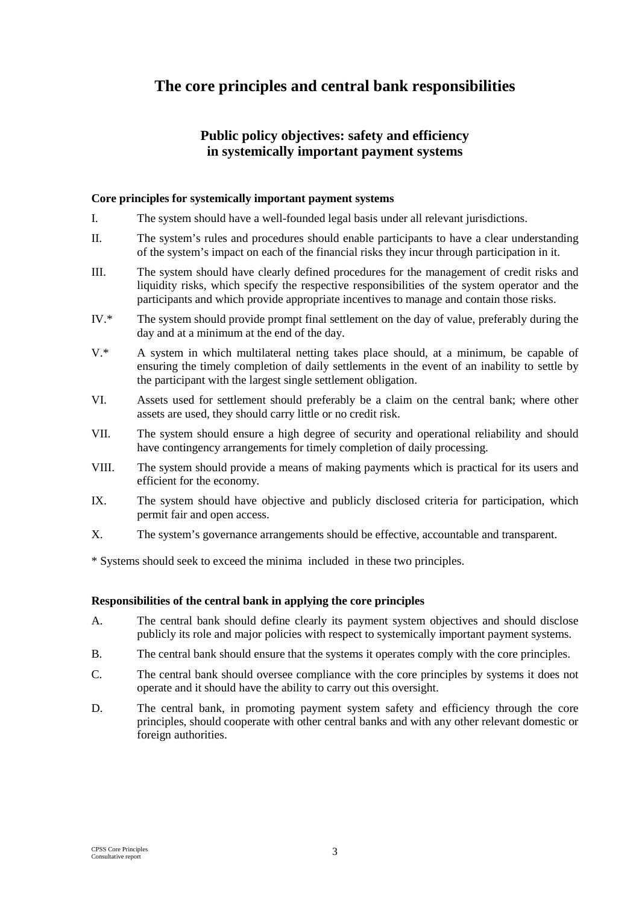## **The core principles and central bank responsibilities**

## **Public policy objectives: safety and efficiency in systemically important payment systems**

#### **Core principles for systemically important payment systems**

- I. The system should have a well-founded legal basis under all relevant jurisdictions.
- II. The system's rules and procedures should enable participants to have a clear understanding of the system's impact on each of the financial risks they incur through participation in it.
- III. The system should have clearly defined procedures for the management of credit risks and liquidity risks, which specify the respective responsibilities of the system operator and the participants and which provide appropriate incentives to manage and contain those risks.
- IV.\* The system should provide prompt final settlement on the day of value, preferably during the day and at a minimum at the end of the day.
- V.\* A system in which multilateral netting takes place should, at a minimum, be capable of ensuring the timely completion of daily settlements in the event of an inability to settle by the participant with the largest single settlement obligation.
- VI. Assets used for settlement should preferably be a claim on the central bank; where other assets are used, they should carry little or no credit risk.
- VII. The system should ensure a high degree of security and operational reliability and should have contingency arrangements for timely completion of daily processing.
- VIII. The system should provide a means of making payments which is practical for its users and efficient for the economy*.*
- IX. The system should have objective and publicly disclosed criteria for participation, which permit fair and open access.
- X. The system's governance arrangements should be effective, accountable and transparent.

\* Systems should seek to exceed the minima included in these two principles.

#### **Responsibilities of the central bank in applying the core principles**

- A. The central bank should define clearly its payment system objectives and should disclose publicly its role and major policies with respect to systemically important payment systems.
- B. The central bank should ensure that the systems it operates comply with the core principles.
- C. The central bank should oversee compliance with the core principles by systems it does not operate and it should have the ability to carry out this oversight.
- D. The central bank, in promoting payment system safety and efficiency through the core principles, should cooperate with other central banks and with any other relevant domestic or foreign authorities.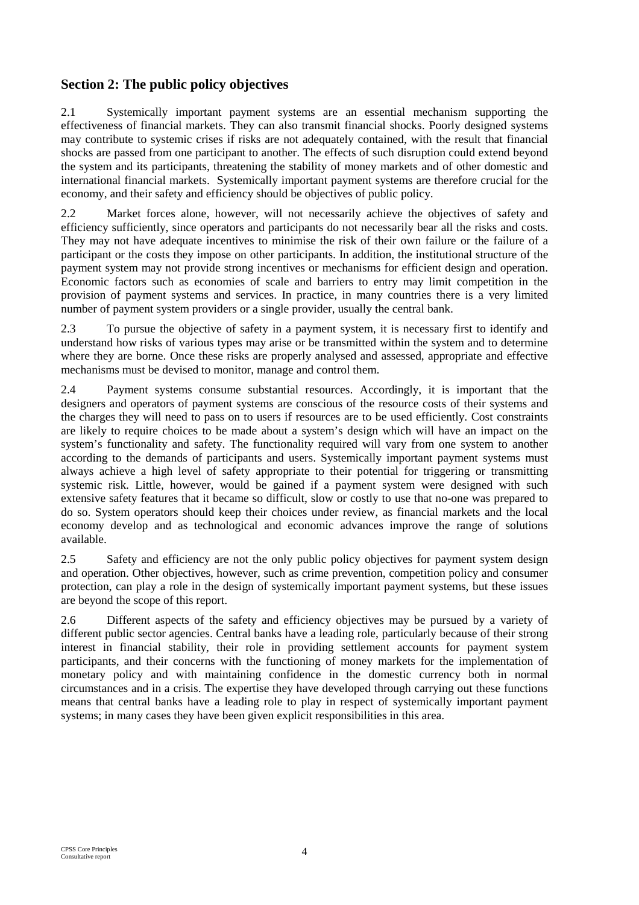### **Section 2: The public policy objectives**

2.1 Systemically important payment systems are an essential mechanism supporting the effectiveness of financial markets. They can also transmit financial shocks. Poorly designed systems may contribute to systemic crises if risks are not adequately contained, with the result that financial shocks are passed from one participant to another. The effects of such disruption could extend beyond the system and its participants, threatening the stability of money markets and of other domestic and international financial markets. Systemically important payment systems are therefore crucial for the economy, and their safety and efficiency should be objectives of public policy.

2.2 Market forces alone, however, will not necessarily achieve the objectives of safety and efficiency sufficiently, since operators and participants do not necessarily bear all the risks and costs. They may not have adequate incentives to minimise the risk of their own failure or the failure of a participant or the costs they impose on other participants. In addition, the institutional structure of the payment system may not provide strong incentives or mechanisms for efficient design and operation. Economic factors such as economies of scale and barriers to entry may limit competition in the provision of payment systems and services. In practice, in many countries there is a very limited number of payment system providers or a single provider, usually the central bank.

2.3 To pursue the objective of safety in a payment system, it is necessary first to identify and understand how risks of various types may arise or be transmitted within the system and to determine where they are borne. Once these risks are properly analysed and assessed, appropriate and effective mechanisms must be devised to monitor, manage and control them.

2.4 Payment systems consume substantial resources. Accordingly, it is important that the designers and operators of payment systems are conscious of the resource costs of their systems and the charges they will need to pass on to users if resources are to be used efficiently. Cost constraints are likely to require choices to be made about a system's design which will have an impact on the system's functionality and safety. The functionality required will vary from one system to another according to the demands of participants and users. Systemically important payment systems must always achieve a high level of safety appropriate to their potential for triggering or transmitting systemic risk. Little, however, would be gained if a payment system were designed with such extensive safety features that it became so difficult, slow or costly to use that no-one was prepared to do so. System operators should keep their choices under review, as financial markets and the local economy develop and as technological and economic advances improve the range of solutions available.

2.5 Safety and efficiency are not the only public policy objectives for payment system design and operation. Other objectives, however, such as crime prevention, competition policy and consumer protection, can play a role in the design of systemically important payment systems, but these issues are beyond the scope of this report.

2.6 Different aspects of the safety and efficiency objectives may be pursued by a variety of different public sector agencies. Central banks have a leading role, particularly because of their strong interest in financial stability, their role in providing settlement accounts for payment system participants, and their concerns with the functioning of money markets for the implementation of monetary policy and with maintaining confidence in the domestic currency both in normal circumstances and in a crisis. The expertise they have developed through carrying out these functions means that central banks have a leading role to play in respect of systemically important payment systems; in many cases they have been given explicit responsibilities in this area.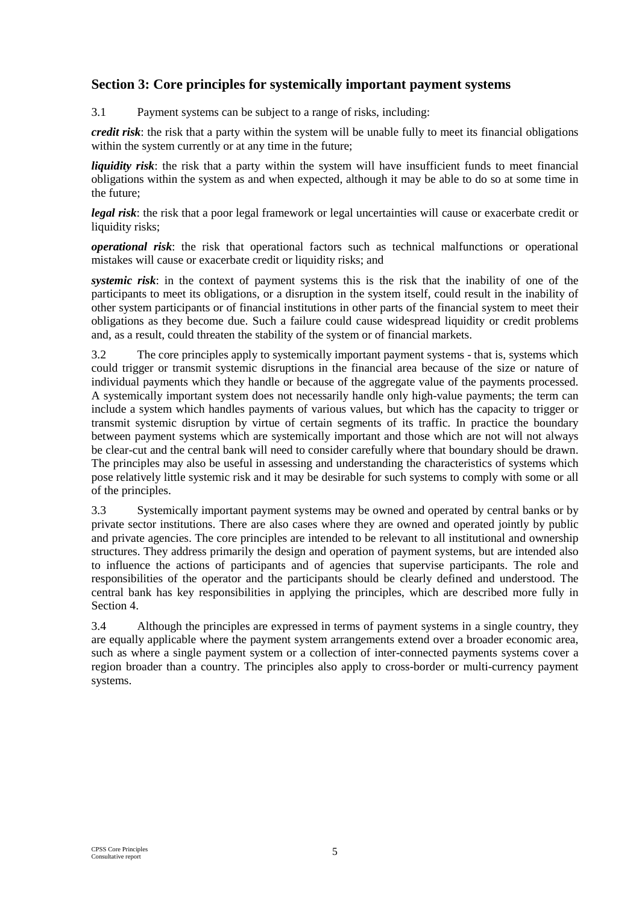## **Section 3: Core principles for systemically important payment systems**

3.1 Payment systems can be subject to a range of risks, including:

*credit risk*: the risk that a party within the system will be unable fully to meet its financial obligations within the system currently or at any time in the future;

*liquidity risk*: the risk that a party within the system will have insufficient funds to meet financial obligations within the system as and when expected, although it may be able to do so at some time in the future;

*legal risk*: the risk that a poor legal framework or legal uncertainties will cause or exacerbate credit or liquidity risks;

*operational risk*: the risk that operational factors such as technical malfunctions or operational mistakes will cause or exacerbate credit or liquidity risks; and

*systemic risk*: in the context of payment systems this is the risk that the inability of one of the participants to meet its obligations, or a disruption in the system itself, could result in the inability of other system participants or of financial institutions in other parts of the financial system to meet their obligations as they become due. Such a failure could cause widespread liquidity or credit problems and, as a result, could threaten the stability of the system or of financial markets.

3.2 The core principles apply to systemically important payment systems - that is, systems which could trigger or transmit systemic disruptions in the financial area because of the size or nature of individual payments which they handle or because of the aggregate value of the payments processed. A systemically important system does not necessarily handle only high-value payments; the term can include a system which handles payments of various values, but which has the capacity to trigger or transmit systemic disruption by virtue of certain segments of its traffic. In practice the boundary between payment systems which are systemically important and those which are not will not always be clear-cut and the central bank will need to consider carefully where that boundary should be drawn. The principles may also be useful in assessing and understanding the characteristics of systems which pose relatively little systemic risk and it may be desirable for such systems to comply with some or all of the principles.

3.3 Systemically important payment systems may be owned and operated by central banks or by private sector institutions. There are also cases where they are owned and operated jointly by public and private agencies. The core principles are intended to be relevant to all institutional and ownership structures. They address primarily the design and operation of payment systems, but are intended also to influence the actions of participants and of agencies that supervise participants. The role and responsibilities of the operator and the participants should be clearly defined and understood. The central bank has key responsibilities in applying the principles, which are described more fully in Section 4.

3.4 Although the principles are expressed in terms of payment systems in a single country, they are equally applicable where the payment system arrangements extend over a broader economic area, such as where a single payment system or a collection of inter-connected payments systems cover a region broader than a country. The principles also apply to cross-border or multi-currency payment systems.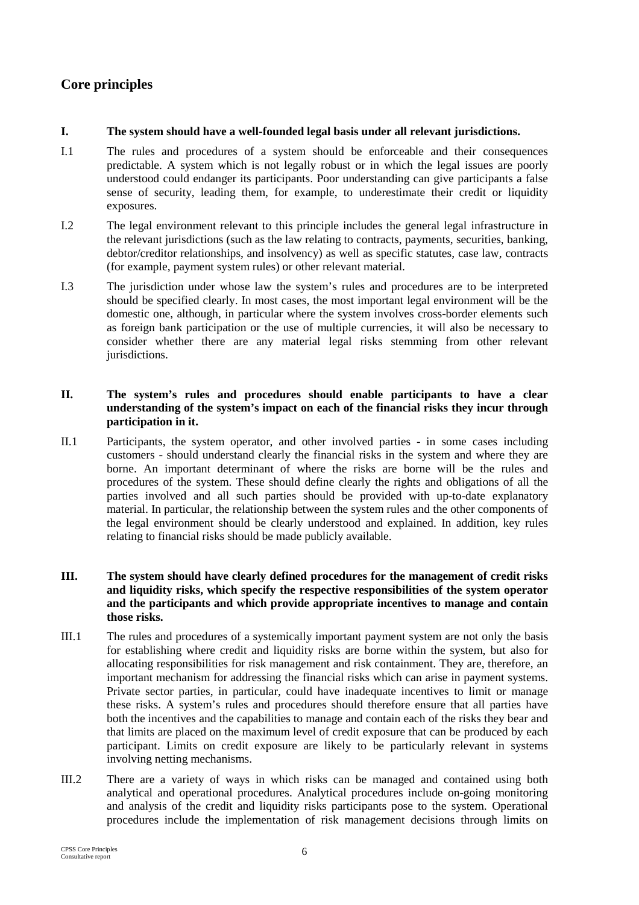## **Core principles**

#### **I. The system should have a well-founded legal basis under all relevant jurisdictions.**

- I.1 The rules and procedures of a system should be enforceable and their consequences predictable. A system which is not legally robust or in which the legal issues are poorly understood could endanger its participants. Poor understanding can give participants a false sense of security, leading them, for example, to underestimate their credit or liquidity exposures.
- I.2 The legal environment relevant to this principle includes the general legal infrastructure in the relevant jurisdictions (such as the law relating to contracts, payments, securities, banking, debtor/creditor relationships, and insolvency) as well as specific statutes, case law, contracts (for example, payment system rules) or other relevant material.
- I.3 The jurisdiction under whose law the system's rules and procedures are to be interpreted should be specified clearly. In most cases, the most important legal environment will be the domestic one, although, in particular where the system involves cross-border elements such as foreign bank participation or the use of multiple currencies, it will also be necessary to consider whether there are any material legal risks stemming from other relevant jurisdictions.

#### **II. The system's rules and procedures should enable participants to have a clear understanding of the system's impact on each of the financial risks they incur through participation in it.**

II.1 Participants, the system operator, and other involved parties - in some cases including customers - should understand clearly the financial risks in the system and where they are borne. An important determinant of where the risks are borne will be the rules and procedures of the system. These should define clearly the rights and obligations of all the parties involved and all such parties should be provided with up-to-date explanatory material. In particular, the relationship between the system rules and the other components of the legal environment should be clearly understood and explained. In addition, key rules relating to financial risks should be made publicly available.

#### **III. The system should have clearly defined procedures for the management of credit risks and liquidity risks, which specify the respective responsibilities of the system operator and the participants and which provide appropriate incentives to manage and contain those risks.**

- III.1 The rules and procedures of a systemically important payment system are not only the basis for establishing where credit and liquidity risks are borne within the system, but also for allocating responsibilities for risk management and risk containment. They are, therefore, an important mechanism for addressing the financial risks which can arise in payment systems. Private sector parties, in particular, could have inadequate incentives to limit or manage these risks. A system's rules and procedures should therefore ensure that all parties have both the incentives and the capabilities to manage and contain each of the risks they bear and that limits are placed on the maximum level of credit exposure that can be produced by each participant. Limits on credit exposure are likely to be particularly relevant in systems involving netting mechanisms.
- III.2 There are a variety of ways in which risks can be managed and contained using both analytical and operational procedures. Analytical procedures include on-going monitoring and analysis of the credit and liquidity risks participants pose to the system. Operational procedures include the implementation of risk management decisions through limits on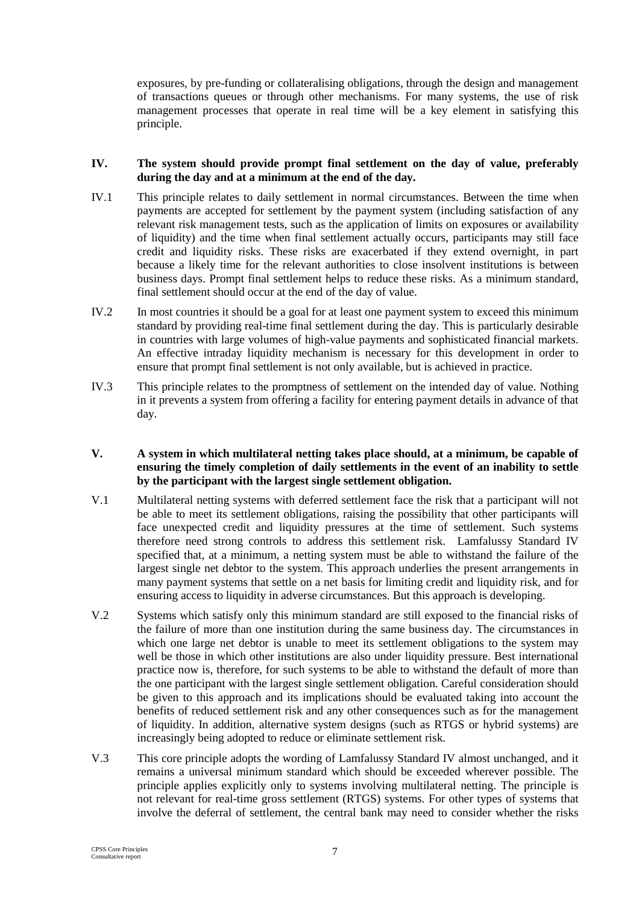exposures, by pre-funding or collateralising obligations, through the design and management of transactions queues or through other mechanisms. For many systems, the use of risk management processes that operate in real time will be a key element in satisfying this principle.

#### **IV. The system should provide prompt final settlement on the day of value, preferably during the day and at a minimum at the end of the day.**

- IV.1 This principle relates to daily settlement in normal circumstances. Between the time when payments are accepted for settlement by the payment system (including satisfaction of any relevant risk management tests, such as the application of limits on exposures or availability of liquidity) and the time when final settlement actually occurs, participants may still face credit and liquidity risks. These risks are exacerbated if they extend overnight, in part because a likely time for the relevant authorities to close insolvent institutions is between business days. Prompt final settlement helps to reduce these risks. As a minimum standard, final settlement should occur at the end of the day of value.
- IV.2 In most countries it should be a goal for at least one payment system to exceed this minimum standard by providing real-time final settlement during the day. This is particularly desirable in countries with large volumes of high-value payments and sophisticated financial markets. An effective intraday liquidity mechanism is necessary for this development in order to ensure that prompt final settlement is not only available, but is achieved in practice.
- IV.3 This principle relates to the promptness of settlement on the intended day of value. Nothing in it prevents a system from offering a facility for entering payment details in advance of that day.

#### **V. A system in which multilateral netting takes place should, at a minimum, be capable of ensuring the timely completion of daily settlements in the event of an inability to settle by the participant with the largest single settlement obligation.**

- V.1 Multilateral netting systems with deferred settlement face the risk that a participant will not be able to meet its settlement obligations, raising the possibility that other participants will face unexpected credit and liquidity pressures at the time of settlement. Such systems therefore need strong controls to address this settlement risk. Lamfalussy Standard IV specified that, at a minimum, a netting system must be able to withstand the failure of the largest single net debtor to the system. This approach underlies the present arrangements in many payment systems that settle on a net basis for limiting credit and liquidity risk, and for ensuring access to liquidity in adverse circumstances. But this approach is developing.
- V.2 Systems which satisfy only this minimum standard are still exposed to the financial risks of the failure of more than one institution during the same business day. The circumstances in which one large net debtor is unable to meet its settlement obligations to the system may well be those in which other institutions are also under liquidity pressure. Best international practice now is, therefore, for such systems to be able to withstand the default of more than the one participant with the largest single settlement obligation. Careful consideration should be given to this approach and its implications should be evaluated taking into account the benefits of reduced settlement risk and any other consequences such as for the management of liquidity. In addition, alternative system designs (such as RTGS or hybrid systems) are increasingly being adopted to reduce or eliminate settlement risk.
- V.3 This core principle adopts the wording of Lamfalussy Standard IV almost unchanged, and it remains a universal minimum standard which should be exceeded wherever possible. The principle applies explicitly only to systems involving multilateral netting. The principle is not relevant for real-time gross settlement (RTGS) systems. For other types of systems that involve the deferral of settlement, the central bank may need to consider whether the risks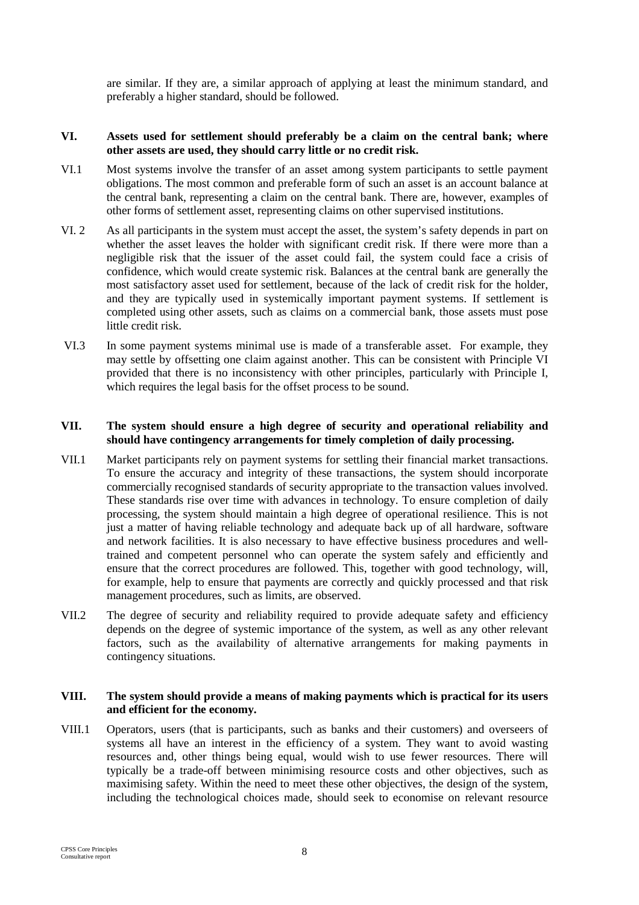are similar. If they are, a similar approach of applying at least the minimum standard, and preferably a higher standard, should be followed.

#### **VI. Assets used for settlement should preferably be a claim on the central bank; where other assets are used, they should carry little or no credit risk.**

- VI.1 Most systems involve the transfer of an asset among system participants to settle payment obligations. The most common and preferable form of such an asset is an account balance at the central bank, representing a claim on the central bank. There are, however, examples of other forms of settlement asset, representing claims on other supervised institutions.
- VI. 2 As all participants in the system must accept the asset, the system's safety depends in part on whether the asset leaves the holder with significant credit risk. If there were more than a negligible risk that the issuer of the asset could fail, the system could face a crisis of confidence, which would create systemic risk. Balances at the central bank are generally the most satisfactory asset used for settlement, because of the lack of credit risk for the holder, and they are typically used in systemically important payment systems. If settlement is completed using other assets, such as claims on a commercial bank, those assets must pose little credit risk.
- VI.3 In some payment systems minimal use is made of a transferable asset. For example, they may settle by offsetting one claim against another. This can be consistent with Principle VI provided that there is no inconsistency with other principles, particularly with Principle I, which requires the legal basis for the offset process to be sound.

#### **VII. The system should ensure a high degree of security and operational reliability and should have contingency arrangements for timely completion of daily processing.**

- VII.1 Market participants rely on payment systems for settling their financial market transactions. To ensure the accuracy and integrity of these transactions, the system should incorporate commercially recognised standards of security appropriate to the transaction values involved. These standards rise over time with advances in technology. To ensure completion of daily processing, the system should maintain a high degree of operational resilience. This is not just a matter of having reliable technology and adequate back up of all hardware, software and network facilities. It is also necessary to have effective business procedures and welltrained and competent personnel who can operate the system safely and efficiently and ensure that the correct procedures are followed. This, together with good technology, will, for example, help to ensure that payments are correctly and quickly processed and that risk management procedures, such as limits, are observed.
- VII.2 The degree of security and reliability required to provide adequate safety and efficiency depends on the degree of systemic importance of the system, as well as any other relevant factors, such as the availability of alternative arrangements for making payments in contingency situations.

#### **VIII. The system should provide a means of making payments which is practical for its users and efficient for the economy.**

VIII.1 Operators, users (that is participants, such as banks and their customers) and overseers of systems all have an interest in the efficiency of a system. They want to avoid wasting resources and, other things being equal, would wish to use fewer resources. There will typically be a trade-off between minimising resource costs and other objectives, such as maximising safety. Within the need to meet these other objectives, the design of the system, including the technological choices made, should seek to economise on relevant resource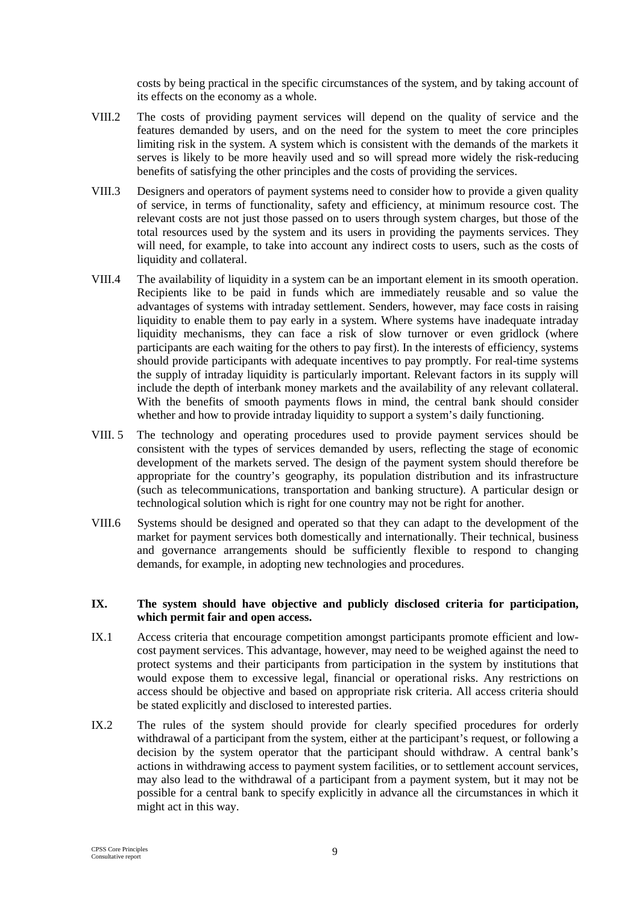costs by being practical in the specific circumstances of the system, and by taking account of its effects on the economy as a whole.

- VIII.2 The costs of providing payment services will depend on the quality of service and the features demanded by users, and on the need for the system to meet the core principles limiting risk in the system. A system which is consistent with the demands of the markets it serves is likely to be more heavily used and so will spread more widely the risk-reducing benefits of satisfying the other principles and the costs of providing the services.
- VIII.3 Designers and operators of payment systems need to consider how to provide a given quality of service, in terms of functionality, safety and efficiency, at minimum resource cost. The relevant costs are not just those passed on to users through system charges, but those of the total resources used by the system and its users in providing the payments services. They will need, for example, to take into account any indirect costs to users, such as the costs of liquidity and collateral.
- VIII.4 The availability of liquidity in a system can be an important element in its smooth operation. Recipients like to be paid in funds which are immediately reusable and so value the advantages of systems with intraday settlement. Senders, however, may face costs in raising liquidity to enable them to pay early in a system. Where systems have inadequate intraday liquidity mechanisms, they can face a risk of slow turnover or even gridlock (where participants are each waiting for the others to pay first). In the interests of efficiency, systems should provide participants with adequate incentives to pay promptly. For real-time systems the supply of intraday liquidity is particularly important. Relevant factors in its supply will include the depth of interbank money markets and the availability of any relevant collateral. With the benefits of smooth payments flows in mind, the central bank should consider whether and how to provide intraday liquidity to support a system's daily functioning.
- VIII. 5 The technology and operating procedures used to provide payment services should be consistent with the types of services demanded by users, reflecting the stage of economic development of the markets served. The design of the payment system should therefore be appropriate for the country's geography, its population distribution and its infrastructure (such as telecommunications, transportation and banking structure). A particular design or technological solution which is right for one country may not be right for another.
- VIII.6 Systems should be designed and operated so that they can adapt to the development of the market for payment services both domestically and internationally. Their technical, business and governance arrangements should be sufficiently flexible to respond to changing demands, for example, in adopting new technologies and procedures.

#### **IX. The system should have objective and publicly disclosed criteria for participation, which permit fair and open access.**

- IX.1 Access criteria that encourage competition amongst participants promote efficient and lowcost payment services. This advantage, however, may need to be weighed against the need to protect systems and their participants from participation in the system by institutions that would expose them to excessive legal, financial or operational risks. Any restrictions on access should be objective and based on appropriate risk criteria. All access criteria should be stated explicitly and disclosed to interested parties.
- IX.2 The rules of the system should provide for clearly specified procedures for orderly withdrawal of a participant from the system, either at the participant's request, or following a decision by the system operator that the participant should withdraw. A central bank's actions in withdrawing access to payment system facilities, or to settlement account services, may also lead to the withdrawal of a participant from a payment system, but it may not be possible for a central bank to specify explicitly in advance all the circumstances in which it might act in this way.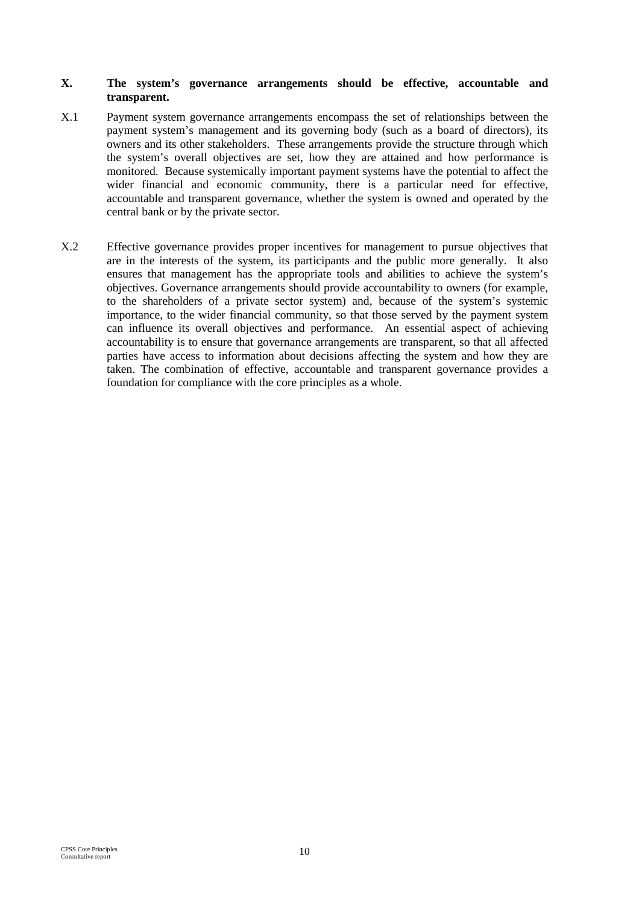#### **X. The system's governance arrangements should be effective, accountable and transparent.**

- X.1 Payment system governance arrangements encompass the set of relationships between the payment system's management and its governing body (such as a board of directors), its owners and its other stakeholders. These arrangements provide the structure through which the system's overall objectives are set, how they are attained and how performance is monitored. Because systemically important payment systems have the potential to affect the wider financial and economic community, there is a particular need for effective, accountable and transparent governance, whether the system is owned and operated by the central bank or by the private sector.
- X.2 Effective governance provides proper incentives for management to pursue objectives that are in the interests of the system, its participants and the public more generally. It also ensures that management has the appropriate tools and abilities to achieve the system's objectives. Governance arrangements should provide accountability to owners (for example, to the shareholders of a private sector system) and, because of the system's systemic importance, to the wider financial community, so that those served by the payment system can influence its overall objectives and performance. An essential aspect of achieving accountability is to ensure that governance arrangements are transparent, so that all affected parties have access to information about decisions affecting the system and how they are taken. The combination of effective, accountable and transparent governance provides a foundation for compliance with the core principles as a whole.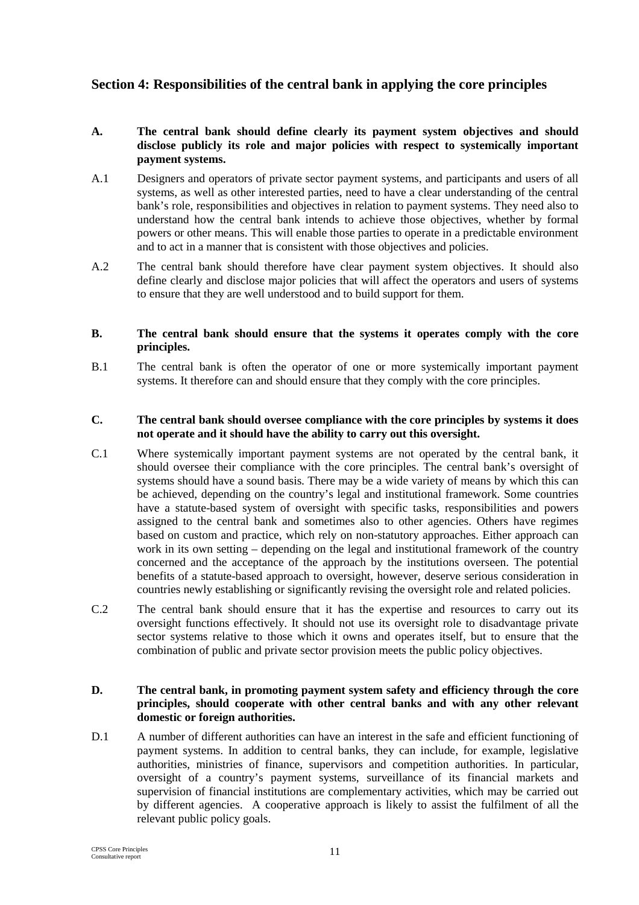## **Section 4: Responsibilities of the central bank in applying the core principles**

#### **A. The central bank should define clearly its payment system objectives and should disclose publicly its role and major policies with respect to systemically important payment systems.**

- A.1 Designers and operators of private sector payment systems, and participants and users of all systems, as well as other interested parties, need to have a clear understanding of the central bank's role, responsibilities and objectives in relation to payment systems. They need also to understand how the central bank intends to achieve those objectives, whether by formal powers or other means. This will enable those parties to operate in a predictable environment and to act in a manner that is consistent with those objectives and policies.
- A.2 The central bank should therefore have clear payment system objectives. It should also define clearly and disclose major policies that will affect the operators and users of systems to ensure that they are well understood and to build support for them.

#### **B. The central bank should ensure that the systems it operates comply with the core principles.**

B.1 The central bank is often the operator of one or more systemically important payment systems. It therefore can and should ensure that they comply with the core principles.

#### **C. The central bank should oversee compliance with the core principles by systems it does not operate and it should have the ability to carry out this oversight.**

- C.1 Where systemically important payment systems are not operated by the central bank, it should oversee their compliance with the core principles. The central bank's oversight of systems should have a sound basis. There may be a wide variety of means by which this can be achieved, depending on the country's legal and institutional framework. Some countries have a statute-based system of oversight with specific tasks, responsibilities and powers assigned to the central bank and sometimes also to other agencies. Others have regimes based on custom and practice, which rely on non-statutory approaches. Either approach can work in its own setting – depending on the legal and institutional framework of the country concerned and the acceptance of the approach by the institutions overseen. The potential benefits of a statute-based approach to oversight, however, deserve serious consideration in countries newly establishing or significantly revising the oversight role and related policies.
- C.2 The central bank should ensure that it has the expertise and resources to carry out its oversight functions effectively. It should not use its oversight role to disadvantage private sector systems relative to those which it owns and operates itself, but to ensure that the combination of public and private sector provision meets the public policy objectives.

#### **D. The central bank, in promoting payment system safety and efficiency through the core principles, should cooperate with other central banks and with any other relevant domestic or foreign authorities.**

D.1 A number of different authorities can have an interest in the safe and efficient functioning of payment systems. In addition to central banks, they can include, for example, legislative authorities, ministries of finance, supervisors and competition authorities. In particular, oversight of a country's payment systems, surveillance of its financial markets and supervision of financial institutions are complementary activities, which may be carried out by different agencies. A cooperative approach is likely to assist the fulfilment of all the relevant public policy goals.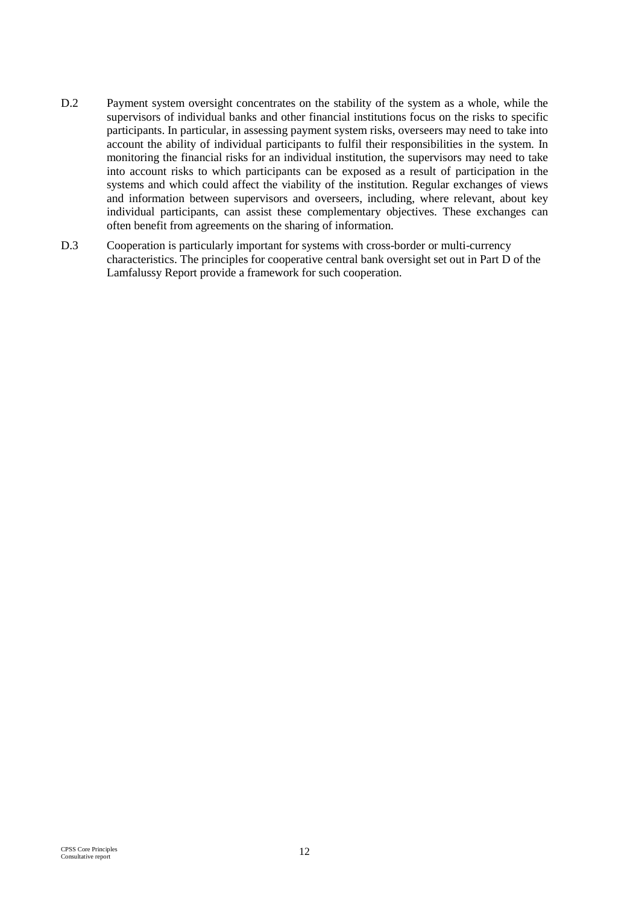- D.2 Payment system oversight concentrates on the stability of the system as a whole, while the supervisors of individual banks and other financial institutions focus on the risks to specific participants. In particular, in assessing payment system risks, overseers may need to take into account the ability of individual participants to fulfil their responsibilities in the system. In monitoring the financial risks for an individual institution, the supervisors may need to take into account risks to which participants can be exposed as a result of participation in the systems and which could affect the viability of the institution. Regular exchanges of views and information between supervisors and overseers, including, where relevant, about key individual participants, can assist these complementary objectives. These exchanges can often benefit from agreements on the sharing of information.
- D.3 Cooperation is particularly important for systems with cross-border or multi-currency characteristics. The principles for cooperative central bank oversight set out in Part D of the Lamfalussy Report provide a framework for such cooperation.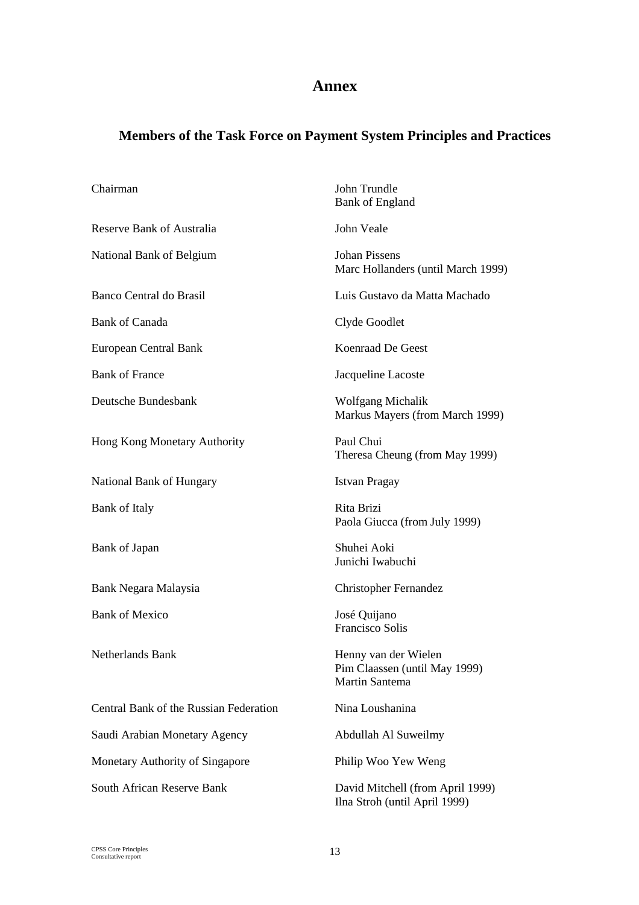## **Annex**

# **Members of the Task Force on Payment System Principles and Practices**

| Chairman                               | John Trundle<br><b>Bank of England</b>                                  |  |
|----------------------------------------|-------------------------------------------------------------------------|--|
| Reserve Bank of Australia              | John Veale                                                              |  |
| National Bank of Belgium               | <b>Johan Pissens</b><br>Marc Hollanders (until March 1999)              |  |
| Banco Central do Brasil                | Luis Gustavo da Matta Machado                                           |  |
| <b>Bank of Canada</b>                  | Clyde Goodlet                                                           |  |
| European Central Bank                  | <b>Koenraad De Geest</b>                                                |  |
| <b>Bank of France</b>                  | Jacqueline Lacoste                                                      |  |
| Deutsche Bundesbank                    | <b>Wolfgang Michalik</b><br>Markus Mayers (from March 1999)             |  |
| Hong Kong Monetary Authority           | Paul Chui<br>Theresa Cheung (from May 1999)                             |  |
| National Bank of Hungary               | <b>Istvan Pragay</b>                                                    |  |
| <b>Bank of Italy</b>                   | Rita Brizi<br>Paola Giucca (from July 1999)                             |  |
| Bank of Japan                          | Shuhei Aoki<br>Junichi Iwabuchi                                         |  |
| Bank Negara Malaysia                   | <b>Christopher Fernandez</b>                                            |  |
| <b>Bank of Mexico</b>                  | José Quijano<br>Francisco Solis                                         |  |
| Netherlands Bank                       | Henny van der Wielen<br>Pim Claassen (until May 1999)<br>Martin Santema |  |
| Central Bank of the Russian Federation | Nina Loushanina                                                         |  |
| Saudi Arabian Monetary Agency          | Abdullah Al Suweilmy                                                    |  |
| Monetary Authority of Singapore        | Philip Woo Yew Weng                                                     |  |
| South African Reserve Bank             | David Mitchell (from April 1999)<br>Ilna Stroh (until April 1999)       |  |